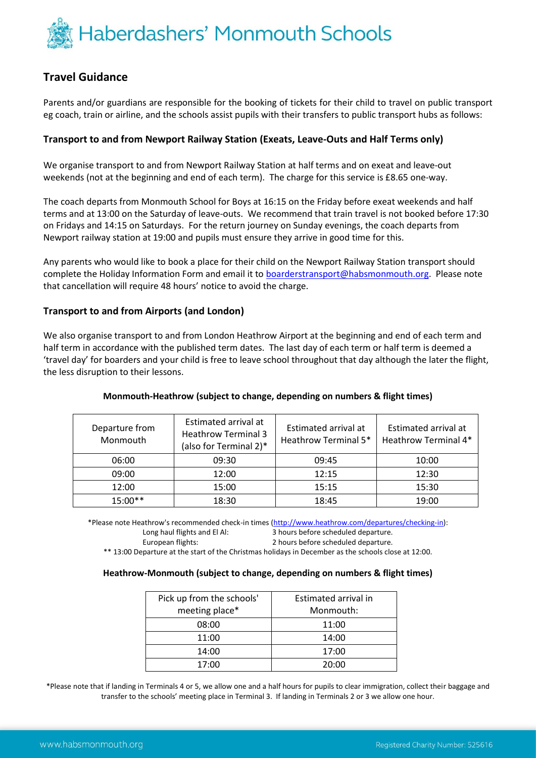

# **Travel Guidance**

Parents and/or guardians are responsible for the booking of tickets for their child to travel on public transport eg coach, train or airline, and the schools assist pupils with their transfers to public transport hubs as follows:

## **Transport to and from Newport Railway Station (Exeats, Leave-Outs and Half Terms only)**

We organise transport to and from Newport Railway Station at half terms and on exeat and leave-out weekends (not at the beginning and end of each term). The charge for this service is £8.65 one-way.

The coach departs from Monmouth School for Boys at 16:15 on the Friday before exeat weekends and half terms and at 13:00 on the Saturday of leave-outs. We recommend that train travel is not booked before 17:30 on Fridays and 14:15 on Saturdays. For the return journey on Sunday evenings, the coach departs from Newport railway station at 19:00 and pupils must ensure they arrive in good time for this.

Any parents who would like to book a place for their child on the Newport Railway Station transport should complete the Holiday Information Form and email it to **boarderstransport@habsmonmouth.org.** Please note that cancellation will require 48 hours' notice to avoid the charge.

### **Transport to and from Airports (and London)**

We also organise transport to and from London Heathrow Airport at the beginning and end of each term and half term in accordance with the published term dates. The last day of each term or half term is deemed a 'travel day' for boarders and your child is free to leave school throughout that day although the later the flight, the less disruption to their lessons.

#### **Monmouth-Heathrow (subject to change, depending on numbers & flight times)**

| Departure from<br>Monmouth | Estimated arrival at<br><b>Heathrow Terminal 3</b><br>(also for Terminal 2)* | Estimated arrival at<br>Heathrow Terminal 5* | Estimated arrival at<br>Heathrow Terminal 4* |
|----------------------------|------------------------------------------------------------------------------|----------------------------------------------|----------------------------------------------|
| 06:00                      | 09:30                                                                        | 09:45                                        | 10:00                                        |
| 09:00                      | 12:00                                                                        | 12:15                                        | 12:30                                        |
| 12:00                      | 15:00                                                                        | 15:15                                        | 15:30                                        |
| $15:00**$                  | 18:30                                                                        | 18:45                                        | 19:00                                        |

\*Please note Heathrow's recommended check-in times [\(http://www.heathrow.com/departures/checking-in\)](http://www.heathrow.com/departures/checking-in): Long haul flights and El Al: 3 hours before scheduled departure.

European flights: 2 hours before scheduled departure.

\*\* 13:00 Departure at the start of the Christmas holidays in December as the schools close at 12:00.

#### **Heathrow-Monmouth (subject to change, depending on numbers & flight times)**

| Pick up from the schools' | Estimated arrival in |  |
|---------------------------|----------------------|--|
| meeting place*            | Monmouth:            |  |
| 08:00                     | 11:00                |  |
| 11:00                     | 14:00                |  |
| 14:00                     | 17:00                |  |
| 17:00                     | 20:00                |  |

\*Please note that if landing in Terminals 4 or 5, we allow one and a half hours for pupils to clear immigration, collect their baggage and transfer to the schools' meeting place in Terminal 3. If landing in Terminals 2 or 3 we allow one hour.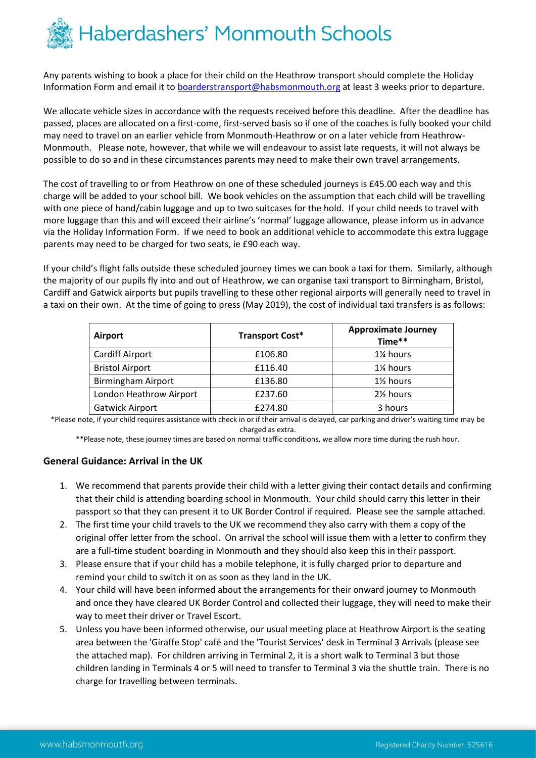

Any parents wishing to book a place for their child on the Heathrow transport should complete the Holiday Information Form and email it to [boarderstransport@habsmonmouth.org](mailto:boarderstransport@habsmonmouth.org) at least 3 weeks prior to departure.

We allocate vehicle sizes in accordance with the requests received before this deadline. After the deadline has passed, places are allocated on a first-come, first-served basis so if one of the coaches is fully booked your child may need to travel on an earlier vehicle from Monmouth-Heathrow or on a later vehicle from Heathrow-Monmouth. Please note, however, that while we will endeavour to assist late requests, it will not always be possible to do so and in these circumstances parents may need to make their own travel arrangements.

The cost of travelling to or from Heathrow on one of these scheduled journeys is £45.00 each way and this charge will be added to your school bill. We book vehicles on the assumption that each child will be travelling with one piece of hand/cabin luggage and up to two suitcases for the hold. If your child needs to travel with more luggage than this and will exceed their airline's 'normal' luggage allowance, please inform us in advance via the Holiday Information Form. If we need to book an additional vehicle to accommodate this extra luggage parents may need to be charged for two seats, ie £90 each way.

If your child's flight falls outside these scheduled journey times we can book a taxi for them. Similarly, although the majority of our pupils fly into and out of Heathrow, we can organise taxi transport to Birmingham, Bristol, Cardiff and Gatwick airports but pupils travelling to these other regional airports will generally need to travel in a taxi on their own. At the time of going to press (May 2019), the cost of individual taxi transfers is as follows:

| <b>Airport</b>            | <b>Transport Cost*</b> | <b>Approximate Journey</b><br>Time** |
|---------------------------|------------------------|--------------------------------------|
| Cardiff Airport           | £106.80                | 1% hours                             |
| <b>Bristol Airport</b>    | £116.40                | 1% hours                             |
| <b>Birmingham Airport</b> | £136.80                | 1 <sup>/2</sup> hours                |
| London Heathrow Airport   | £237.60                | 2 <sup>1</sup> / <sub>2</sub> hours  |
| <b>Gatwick Airport</b>    | £274.80                | 3 hours                              |

\*Please note, if your child requires assistance with check in or if their arrival is delayed, car parking and driver's waiting time may be charged as extra.

\*\*Please note, these journey times are based on normal traffic conditions, we allow more time during the rush hour.

### **General Guidance: Arrival in the UK**

- 1. We recommend that parents provide their child with a letter giving their contact details and confirming that their child is attending boarding school in Monmouth. Your child should carry this letter in their passport so that they can present it to UK Border Control if required. Please see the sample attached.
- 2. The first time your child travels to the UK we recommend they also carry with them a copy of the original offer letter from the school. On arrival the school will issue them with a letter to confirm they are a full-time student boarding in Monmouth and they should also keep this in their passport.
- 3. Please ensure that if your child has a mobile telephone, it is fully charged prior to departure and remind your child to switch it on as soon as they land in the UK.
- 4. Your child will have been informed about the arrangements for their onward journey to Monmouth and once they have cleared UK Border Control and collected their luggage, they will need to make their way to meet their driver or Travel Escort.
- 5. Unless you have been informed otherwise, our usual meeting place at Heathrow Airport is the seating area between the 'Giraffe Stop' café and the 'Tourist Services' desk in Terminal 3 Arrivals (please see the attached map). For children arriving in Terminal 2, it is a short walk to Terminal 3 but those children landing in Terminals 4 or 5 will need to transfer to Terminal 3 via the shuttle train. There is no charge for travelling between terminals.